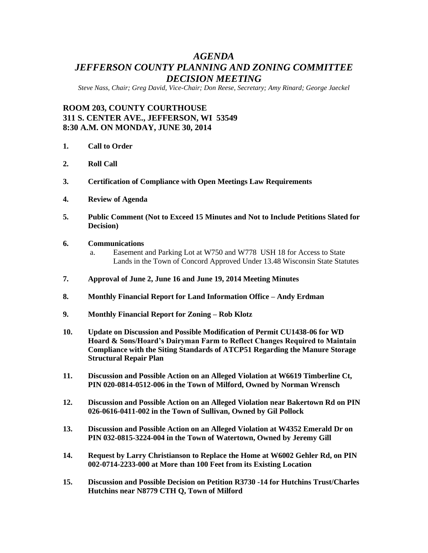# *AGENDA JEFFERSON COUNTY PLANNING AND ZONING COMMITTEE DECISION MEETING*

*Steve Nass, Chair; Greg David, Vice-Chair; Don Reese, Secretary; Amy Rinard; George Jaeckel*

## **ROOM 203, COUNTY COURTHOUSE 311 S. CENTER AVE., JEFFERSON, WI 53549 8:30 A.M. ON MONDAY, JUNE 30, 2014**

- **1. Call to Order**
- **2. Roll Call**
- **3. Certification of Compliance with Open Meetings Law Requirements**
- **4. Review of Agenda**
- **5. Public Comment (Not to Exceed 15 Minutes and Not to Include Petitions Slated for Decision)**
- **6. Communications**
	- a. Easement and Parking Lot at W750 and W778 USH 18 for Access to State Lands in the Town of Concord Approved Under 13.48 Wisconsin State Statutes
- **7. Approval of June 2, June 16 and June 19, 2014 Meeting Minutes**
- **8. Monthly Financial Report for Land Information Office – Andy Erdman**
- **9. Monthly Financial Report for Zoning – Rob Klotz**
- **10. Update on Discussion and Possible Modification of Permit CU1438-06 for WD Hoard & Sons/Hoard's Dairyman Farm to Reflect Changes Required to Maintain Compliance with the Siting Standards of ATCP51 Regarding the Manure Storage Structural Repair Plan**
- **11. Discussion and Possible Action on an Alleged Violation at W6619 Timberline Ct, PIN 020-0814-0512-006 in the Town of Milford, Owned by Norman Wrensch**
- **12. Discussion and Possible Action on an Alleged Violation near Bakertown Rd on PIN 026-0616-0411-002 in the Town of Sullivan, Owned by Gil Pollock**
- **13. Discussion and Possible Action on an Alleged Violation at W4352 Emerald Dr on PIN 032-0815-3224-004 in the Town of Watertown, Owned by Jeremy Gill**
- **14. Request by Larry Christianson to Replace the Home at W6002 Gehler Rd, on PIN 002-0714-2233-000 at More than 100 Feet from its Existing Location**
- **15. Discussion and Possible Decision on Petition R3730 -14 for Hutchins Trust/Charles Hutchins near N8779 CTH Q, Town of Milford**